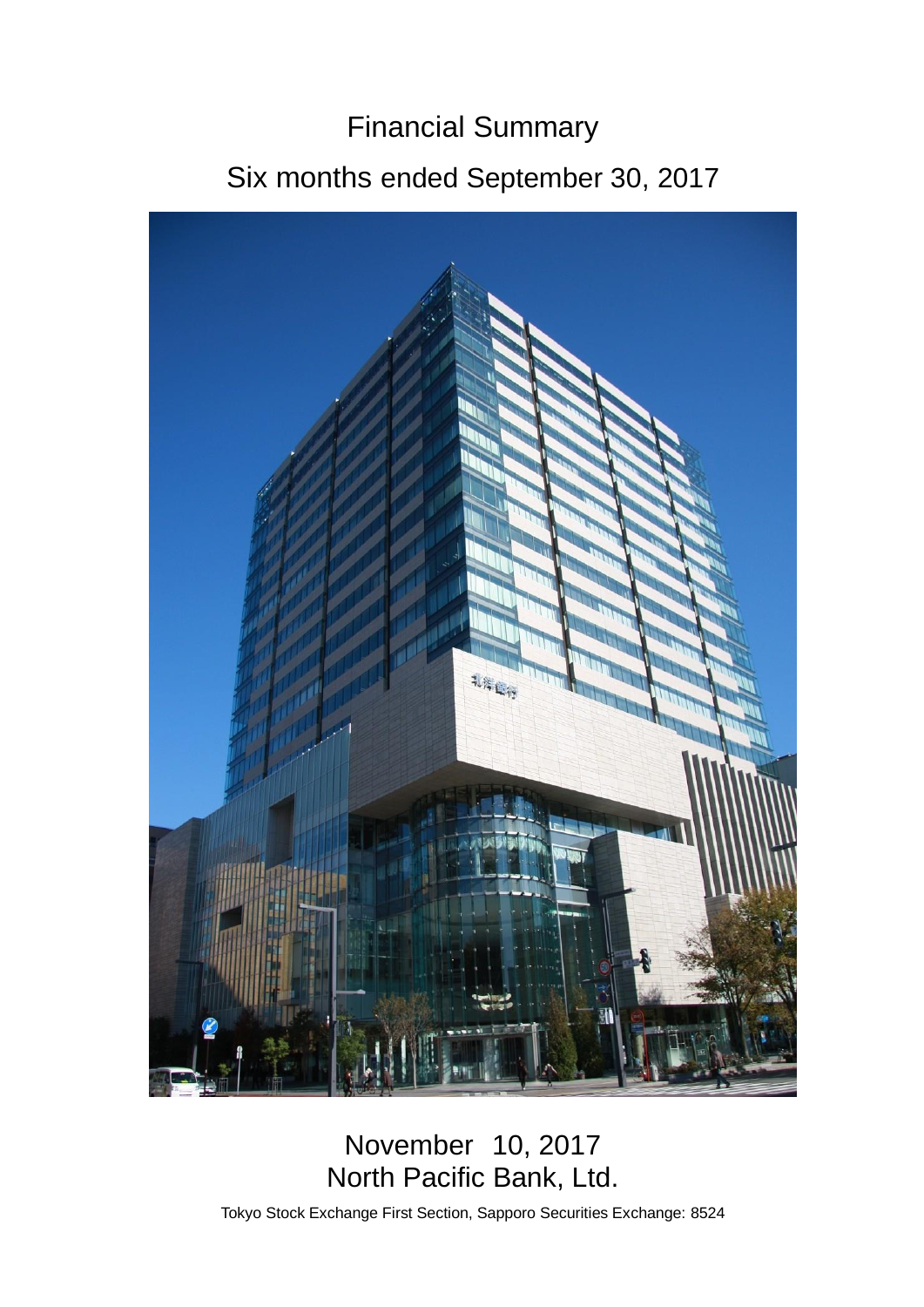# Financial Summary

## Six months ended September 30, 2017



## November 10, 2017 North Pacific Bank, Ltd.

Tokyo Stock Exchange First Section, Sapporo Securities Exchange: 8524